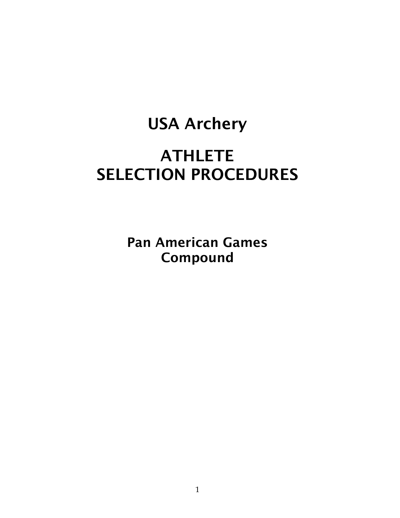# USA Archery

# **ATHLETE** SELECTION PROCEDURES

Pan American Games Compound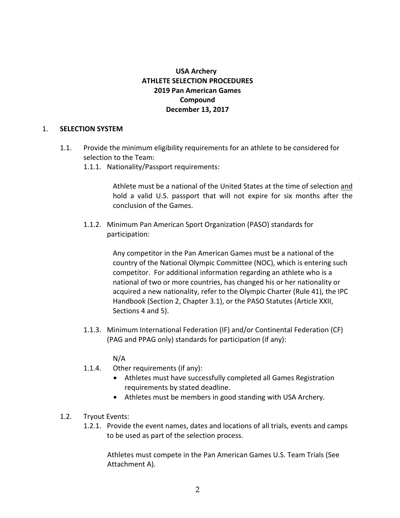# **USA** Archery **ATHLETE SELECTION PROCEDURES 2019 Pan American Games Compound December 13, 2017**

#### 1. **SELECTION SYSTEM**

- 1.1. Provide the minimum eligibility requirements for an athlete to be considered for selection to the Team:
	- 1.1.1. Nationality/Passport requirements:

Athlete must be a national of the United States at the time of selection and hold a valid U.S. passport that will not expire for six months after the conclusion of the Games.

1.1.2. Minimum Pan American Sport Organization (PASO) standards for participation:

> Any competitor in the Pan American Games must be a national of the country of the National Olympic Committee (NOC), which is entering such competitor. For additional information regarding an athlete who is a national of two or more countries, has changed his or her nationality or acquired a new nationality, refer to the Olympic Charter (Rule 41), the IPC Handbook (Section 2, Chapter 3.1), or the PASO Statutes (Article XXII, Sections 4 and 5).

1.1.3. Minimum International Federation (IF) and/or Continental Federation (CF) (PAG and PPAG only) standards for participation (if any):

#### N/A

- 1.1.4. Other requirements (if any):
	- Athletes must have successfully completed all Games Registration requirements by stated deadline.
	- Athletes must be members in good standing with USA Archery.
- 1.2. Tryout Events:
	- 1.2.1. Provide the event names, dates and locations of all trials, events and camps to be used as part of the selection process.

Athletes must compete in the Pan American Games U.S. Team Trials (See Attachment A).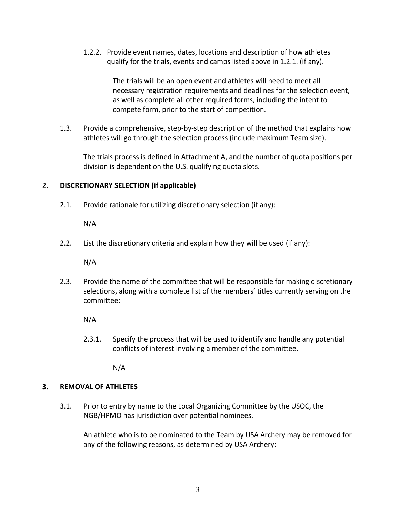1.2.2. Provide event names, dates, locations and description of how athletes qualify for the trials, events and camps listed above in 1.2.1. (if any).

> The trials will be an open event and athletes will need to meet all necessary registration requirements and deadlines for the selection event, as well as complete all other required forms, including the intent to compete form, prior to the start of competition.

1.3. Provide a comprehensive, step-by-step description of the method that explains how athletes will go through the selection process (include maximum Team size).

The trials process is defined in Attachment A, and the number of quota positions per division is dependent on the U.S. qualifying quota slots.

# 2. **DISCRETIONARY SELECTION (if applicable)**

2.1. Provide rationale for utilizing discretionary selection (if any):

N/A

2.2. List the discretionary criteria and explain how they will be used (if any):

N/A

2.3. Provide the name of the committee that will be responsible for making discretionary selections, along with a complete list of the members' titles currently serving on the committee:

N/A

2.3.1. Specify the process that will be used to identify and handle any potential conflicts of interest involving a member of the committee.

N/A

# **3. REMOVAL OF ATHLETES**

3.1. Prior to entry by name to the Local Organizing Committee by the USOC, the NGB/HPMO has jurisdiction over potential nominees.

An athlete who is to be nominated to the Team by USA Archery may be removed for any of the following reasons, as determined by USA Archery: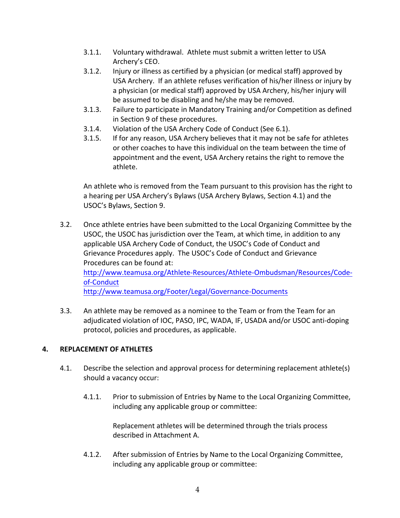- 3.1.1. Voluntary withdrawal. Athlete must submit a written letter to USA Archery's CEO.
- 3.1.2. Injury or illness as certified by a physician (or medical staff) approved by USA Archery. If an athlete refuses verification of his/her illness or injury by a physician (or medical staff) approved by USA Archery, his/her injury will be assumed to be disabling and he/she may be removed.
- 3.1.3. Failure to participate in Mandatory Training and/or Competition as defined in Section 9 of these procedures.
- 3.1.4. Violation of the USA Archery Code of Conduct (See 6.1).
- 3.1.5. If for any reason, USA Archery believes that it may not be safe for athletes or other coaches to have this individual on the team between the time of appointment and the event, USA Archery retains the right to remove the athlete.

An athlete who is removed from the Team pursuant to this provision has the right to a hearing per USA Archery's Bylaws (USA Archery Bylaws, Section 4.1) and the USOC's Bylaws, Section 9.

3.2. Once athlete entries have been submitted to the Local Organizing Committee by the USOC, the USOC has jurisdiction over the Team, at which time, in addition to any applicable USA Archery Code of Conduct, the USOC's Code of Conduct and Grievance Procedures apply. The USOC's Code of Conduct and Grievance Procedures can be found at: http://www.teamusa.org/Athlete-Resources/Athlete-Ombudsman/Resources/Codeof-Conduct

http://www.teamusa.org/Footer/Legal/Governance-Documents

3.3. An athlete may be removed as a nominee to the Team or from the Team for an adjudicated violation of IOC, PASO, IPC, WADA, IF, USADA and/or USOC anti-doping protocol, policies and procedures, as applicable. 

# **4. REPLACEMENT OF ATHLETES**

- 4.1. Describe the selection and approval process for determining replacement athlete(s) should a vacancy occur:
	- 4.1.1. Prior to submission of Entries by Name to the Local Organizing Committee, including any applicable group or committee:

Replacement athletes will be determined through the trials process described in Attachment A.

4.1.2. After submission of Entries by Name to the Local Organizing Committee, including any applicable group or committee: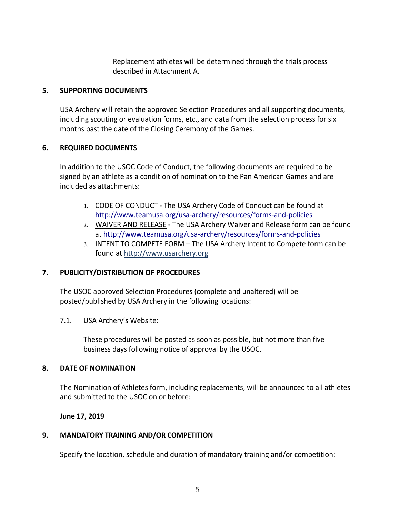Replacement athletes will be determined through the trials process described in Attachment A.

#### **5. SUPPORTING DOCUMENTS**

USA Archery will retain the approved Selection Procedures and all supporting documents, including scouting or evaluation forms, etc., and data from the selection process for six months past the date of the Closing Ceremony of the Games.

#### **6. REQUIRED DOCUMENTS**

In addition to the USOC Code of Conduct, the following documents are required to be signed by an athlete as a condition of nomination to the Pan American Games and are included as attachments:

- 1. CODE OF CONDUCT The USA Archery Code of Conduct can be found at http://www.teamusa.org/usa-archery/resources/forms-and-policies
- 2. WAIVER AND RELEASE The USA Archery Waiver and Release form can be found at http://www.teamusa.org/usa-archery/resources/forms-and-policies
- 3. INTENT TO COMPETE FORM The USA Archery Intent to Compete form can be found at http://www.usarchery.org

# **7. PUBLICITY/DISTRIBUTION OF PROCEDURES**

The USOC approved Selection Procedures (complete and unaltered) will be posted/published by USA Archery in the following locations:

7.1. USA Archery's Website: 

These procedures will be posted as soon as possible, but not more than five business days following notice of approval by the USOC.

#### **8. DATE OF NOMINATION**

The Nomination of Athletes form, including replacements, will be announced to all athletes and submitted to the USOC on or before:

#### **June 17, 2019**

#### **9. MANDATORY TRAINING AND/OR COMPETITION**

Specify the location, schedule and duration of mandatory training and/or competition: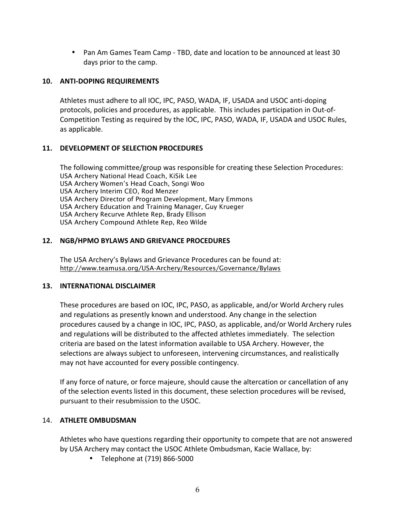• Pan Am Games Team Camp - TBD, date and location to be announced at least 30 days prior to the camp.

### **10. ANTI-DOPING REQUIREMENTS**

Athletes must adhere to all IOC, IPC, PASO, WADA, IF, USADA and USOC anti-doping protocols, policies and procedures, as applicable. This includes participation in Out-of-Competition Testing as required by the IOC, IPC, PASO, WADA, IF, USADA and USOC Rules, as applicable.

#### **11. DEVELOPMENT OF SELECTION PROCEDURES**

The following committee/group was responsible for creating these Selection Procedures: USA Archery National Head Coach, KiSik Lee USA Archery Women's Head Coach, Songi Woo USA Archery Interim CEO, Rod Menzer USA Archery Director of Program Development, Mary Emmons USA Archery Education and Training Manager, Guy Krueger USA Archery Recurve Athlete Rep, Brady Ellison USA Archery Compound Athlete Rep, Reo Wilde

#### **12. NGB/HPMO BYLAWS AND GRIEVANCE PROCEDURES**

The USA Archery's Bylaws and Grievance Procedures can be found at: http://www.teamusa.org/USA-Archery/Resources/Governance/Bylaws

#### **13. INTERNATIONAL DISCLAIMER**

These procedures are based on IOC, IPC, PASO, as applicable, and/or World Archery rules and regulations as presently known and understood. Any change in the selection procedures caused by a change in IOC, IPC, PASO, as applicable, and/or World Archery rules and regulations will be distributed to the affected athletes immediately. The selection criteria are based on the latest information available to USA Archery. However, the selections are always subject to unforeseen, intervening circumstances, and realistically may not have accounted for every possible contingency.

If any force of nature, or force majeure, should cause the altercation or cancellation of any of the selection events listed in this document, these selection procedures will be revised, pursuant to their resubmission to the USOC.

#### 14. **ATHLETE OMBUDSMAN**

Athletes who have questions regarding their opportunity to compete that are not answered by USA Archery may contact the USOC Athlete Ombudsman, Kacie Wallace, by:

• Telephone at (719) 866-5000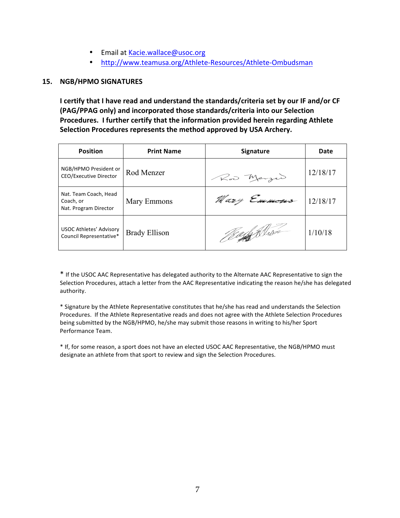- Email at Kacie.wallace@usoc.org
- http://www.teamusa.org/Athlete-Resources/Athlete-Ombudsman

#### **15. NGB/HPMO SIGNATURES**

**I certify that I have read and understand the standards/criteria set by our IF and/or CF (PAG/PPAG only) and incorporated those standards/criteria into our Selection Procedures. I further certify that the information provided herein regarding Athlete Selection Procedures represents the method approved by USA Archery.**

| <b>Position</b>                                             | <b>Print Name</b>    | <b>Signature</b>     | Date     |
|-------------------------------------------------------------|----------------------|----------------------|----------|
| NGB/HPMO President or<br><b>CEO/Executive Director</b>      | Rod Menzer           | Row Merzer           | 12/18/17 |
| Nat. Team Coach, Head<br>Coach, or<br>Nat. Program Director | Mary Emmons          | Mary Emmons 12/18/17 |          |
| USOC Athletes' Advisory<br>Council Representative*          | <b>Brady Ellison</b> | <u> 1800 f</u> Strøn | 1/10/18  |

\* If the USOC AAC Representative has delegated authority to the Alternate AAC Representative to sign the Selection Procedures, attach a letter from the AAC Representative indicating the reason he/she has delegated authority.

\* Signature by the Athlete Representative constitutes that he/she has read and understands the Selection Procedures. If the Athlete Representative reads and does not agree with the Athlete Selection Procedures being submitted by the NGB/HPMO, he/she may submit those reasons in writing to his/her Sport Performance Team.

\* If, for some reason, a sport does not have an elected USOC AAC Representative, the NGB/HPMO must designate an athlete from that sport to review and sign the Selection Procedures.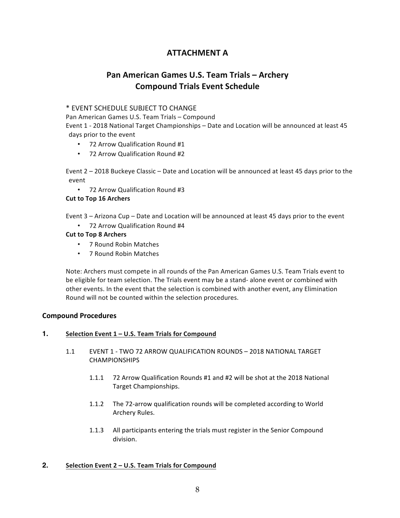# **ATTACHMENT A**

# **Pan American Games U.S. Team Trials – Archery Compound Trials Event Schedule**

#### \* EVENT SCHEDULE SUBJECT TO CHANGE

Pan American Games U.S. Team Trials – Compound Event 1 - 2018 National Target Championships – Date and Location will be announced at least 45 days prior to the event

- 72 Arrow Qualification Round #1
- 72 Arrow Qualification Round #2

Event 2 – 2018 Buckeye Classic – Date and Location will be announced at least 45 days prior to the event

• 72 Arrow Qualification Round #3

#### **Cut to Top 16 Archers**

Event 3 – Arizona Cup – Date and Location will be announced at least 45 days prior to the event

• 72 Arrow Qualification Round #4

#### **Cut to Top 8 Archers**

- 7 Round Robin Matches
- 7 Round Robin Matches

Note: Archers must compete in all rounds of the Pan American Games U.S. Team Trials event to be eligible for team selection. The Trials event may be a stand- alone event or combined with other events. In the event that the selection is combined with another event, any Elimination Round will not be counted within the selection procedures.

#### **Compound Procedures**

#### **1. Selection Event 1 – U.S. Team Trials for Compound**

- 1.1 EVENT 1 TWO 72 ARROW QUALIFICATION ROUNDS 2018 NATIONAL TARGET CHAMPIONSHIPS
	- 1.1.1 72 Arrow Qualification Rounds #1 and #2 will be shot at the 2018 National Target Championships.
	- 1.1.2 The 72-arrow qualification rounds will be completed according to World Archery Rules.
	- 1.1.3 All participants entering the trials must register in the Senior Compound division.

# **2. Selection Event 2 – U.S. Team Trials for Compound**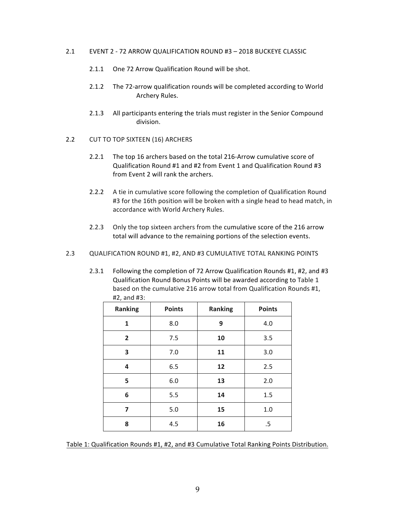- 2.1 EVENT 2 72 ARROW QUALIFICATION ROUND #3 2018 BUCKEYE CLASSIC
	- 2.1.1 One 72 Arrow Qualification Round will be shot.
	- 2.1.2 The 72-arrow qualification rounds will be completed according to World Archery Rules.
	- 2.1.3 All participants entering the trials must register in the Senior Compound division.
- 2.2 CUT TO TOP SIXTEEN (16) ARCHERS
	- 2.2.1 The top 16 archers based on the total 216-Arrow cumulative score of Qualification Round #1 and #2 from Event 1 and Qualification Round #3 from Event 2 will rank the archers.
	- 2.2.2 A tie in cumulative score following the completion of Qualification Round #3 for the 16th position will be broken with a single head to head match, in accordance with World Archery Rules.
	- 2.2.3 Only the top sixteen archers from the cumulative score of the 216 arrow total will advance to the remaining portions of the selection events.
- 2.3 QUALIFICATION ROUND #1, #2, AND #3 CUMULATIVE TOTAL RANKING POINTS
	- 2.3.1 Following the completion of 72 Arrow Qualification Rounds #1, #2, and #3 Qualification Round Bonus Points will be awarded according to Table 1 based on the cumulative 216 arrow total from Qualification Rounds #1, #2, and #3:

| <b>Ranking</b> | <b>Points</b> | Ranking | <b>Points</b> |
|----------------|---------------|---------|---------------|
| 1              | 8.0           | 9       | 4.0           |
| $\overline{2}$ | 7.5           | 10      | 3.5           |
| 3              | 7.0           | 11      | 3.0           |
| 4              | 6.5           | 12      | 2.5           |
| 5              | 6.0           | 13      | 2.0           |
| 6              | 5.5           | 14      | 1.5           |
| 7              | 5.0           | 15      | 1.0           |
| 8              | 4.5           | 16      | .5            |

Table 1: Qualification Rounds #1, #2, and #3 Cumulative Total Ranking Points Distribution.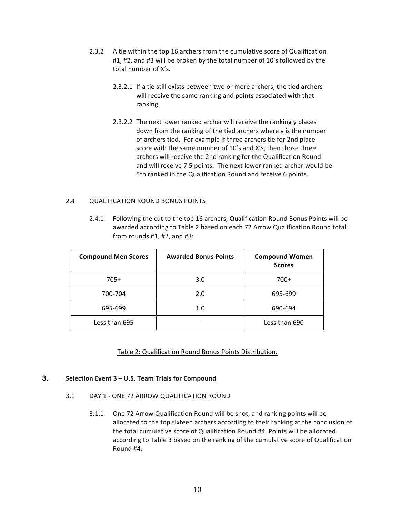- 2.3.2 A tie within the top 16 archers from the cumulative score of Qualification #1, #2, and #3 will be broken by the total number of 10's followed by the total number of X's.
	- 2.3.2.1 If a tie still exists between two or more archers, the tied archers will receive the same ranking and points associated with that ranking.
	- 2.3.2.2 The next lower ranked archer will receive the ranking y places down from the ranking of the tied archers where y is the number of archers tied. For example if three archers tie for 2nd place score with the same number of 10's and X's, then those three archers will receive the 2nd ranking for the Qualification Round and will receive 7.5 points. The next lower ranked archer would be 5th ranked in the Qualification Round and receive 6 points.

#### 2.4 QUALIFICATION ROUND BONUS POINTS

2.4.1 Following the cut to the top 16 archers, Qualification Round Bonus Points will be awarded according to Table 2 based on each 72 Arrow Qualification Round total from rounds #1, #2, and #3:

| <b>Compound Men Scores</b> | <b>Awarded Bonus Points</b> | <b>Compound Women</b><br><b>Scores</b> |
|----------------------------|-----------------------------|----------------------------------------|
| $705+$                     | 3.0                         | $700+$                                 |
| 700-704                    | 2.0                         | 695-699                                |
| 695-699                    | 1.0                         | 690-694                                |
| Less than 695              |                             | Less than 690                          |

#### Table 2: Qualification Round Bonus Points Distribution.

#### **3. Selection Event 3 – U.S. Team Trials for Compound**

#### 3.1 DAY 1 - ONE 72 ARROW QUALIFICATION ROUND

3.1.1 One 72 Arrow Qualification Round will be shot, and ranking points will be allocated to the top sixteen archers according to their ranking at the conclusion of the total cumulative score of Qualification Round #4. Points will be allocated according to Table 3 based on the ranking of the cumulative score of Qualification Round #4: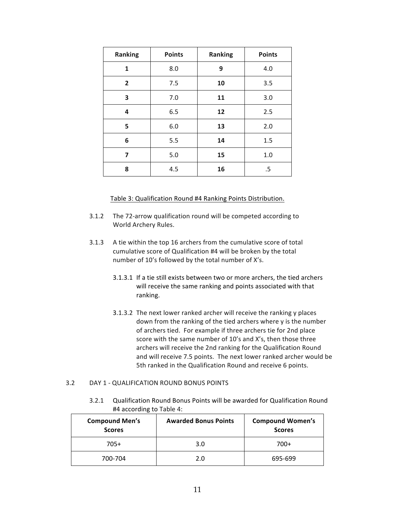| Ranking        | <b>Points</b> | <b>Ranking</b> | <b>Points</b> |
|----------------|---------------|----------------|---------------|
| 1              | 8.0           | 9              | 4.0           |
| $\overline{2}$ | 7.5           | 10             | 3.5           |
| 3              | 7.0           | 11             | 3.0           |
| 4              | 6.5           | 12             | 2.5           |
| 5              | 6.0           | 13             | 2.0           |
| 6              | 5.5           | 14             | 1.5           |
| 7              | 5.0           | 15             | 1.0           |
| 8              | 4.5           | 16             | .5            |

#### Table 3: Qualification Round #4 Ranking Points Distribution.

- 3.1.2 The 72-arrow qualification round will be competed according to World Archery Rules.
- 3.1.3 A tie within the top 16 archers from the cumulative score of total cumulative score of Qualification #4 will be broken by the total number of 10's followed by the total number of X's.
	- 3.1.3.1 If a tie still exists between two or more archers, the tied archers will receive the same ranking and points associated with that ranking.
	- 3.1.3.2 The next lower ranked archer will receive the ranking y places down from the ranking of the tied archers where y is the number of archers tied. For example if three archers tie for 2nd place score with the same number of 10's and X's, then those three archers will receive the 2nd ranking for the Qualification Round and will receive 7.5 points. The next lower ranked archer would be 5th ranked in the Qualification Round and receive 6 points.

#### 3.2 DAY 1 - QUALIFICATION ROUND BONUS POINTS

3.2.1 Qualification Round Bonus Points will be awarded for Qualification Round #4 according to Table 4:

| <b>Compound Men's</b><br><b>Scores</b> | <b>Awarded Bonus Points</b> | <b>Compound Women's</b><br><b>Scores</b> |
|----------------------------------------|-----------------------------|------------------------------------------|
| $705+$                                 | 3.0                         | $700+$                                   |
| 700-704                                | 2.0                         | 695-699                                  |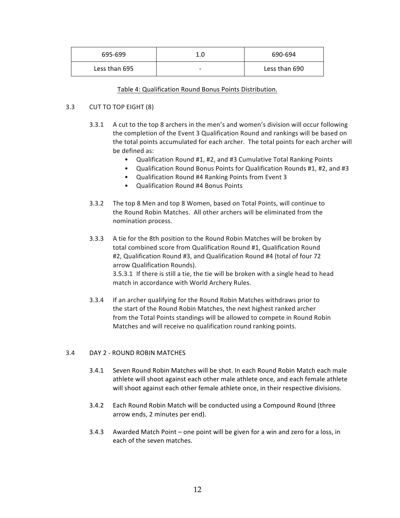| 695-699       | 1.0                      | 690-694       |
|---------------|--------------------------|---------------|
| Less than 695 | $\overline{\phantom{0}}$ | Less than 690 |

#### Table 4: Qualification Round Bonus Points Distribution.

#### 3.3 CUT TO TOP EIGHT (8)

- 3.3.1 A cut to the top 8 archers in the men's and women's division will occur following the completion of the Event 3 Qualification Round and rankings will be based on the total points accumulated for each archer. The total points for each archer will be defined as:
	- Qualification Round #1, #2, and #3 Cumulative Total Ranking Points
	- Qualification Round Bonus Points for Qualification Rounds #1, #2, and #3
	- Qualification Round #4 Ranking Points from Event 3
	- Qualification Round #4 Bonus Points
- 3.3.2 The top 8 Men and top 8 Women, based on Total Points, will continue to the Round Robin Matches. All other archers will be eliminated from the nomination process.
- 3.3.3 A tie for the 8th position to the Round Robin Matches will be broken by total combined score from Qualification Round #1, Qualification Round #2, Qualification Round #3, and Qualification Round #4 (total of four 72 arrow Qualification Rounds). 3.5.3.1 If there is still a tie, the tie will be broken with a single head to head match in accordance with World Archery Rules.
- 3.3.4 If an archer qualifying for the Round Robin Matches withdraws prior to the start of the Round Robin Matches, the next highest ranked archer from the Total Points standings will be allowed to compete in Round Robin Matches and will receive no qualification round ranking points.

#### 3.4 DAY 2 - ROUND ROBIN MATCHES

- 3.4.1 Seven Round Robin Matches will be shot. In each Round Robin Match each male athlete will shoot against each other male athlete once, and each female athlete will shoot against each other female athlete once, in their respective divisions.
- 3.4.2 Each Round Robin Match will be conducted using a Compound Round (three arrow ends, 2 minutes per end).
- 3.4.3 Awarded Match Point one point will be given for a win and zero for a loss, in each of the seven matches.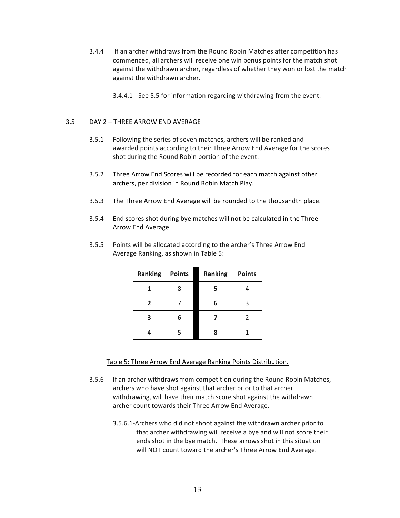- 3.4.4 If an archer withdraws from the Round Robin Matches after competition has commenced, all archers will receive one win bonus points for the match shot against the withdrawn archer, regardless of whether they won or lost the match against the withdrawn archer.
	- 3.4.4.1 See 5.5 for information regarding withdrawing from the event.

#### 3.5 DAY 2 – THREE ARROW END AVERAGE

- 3.5.1 Following the series of seven matches, archers will be ranked and awarded points according to their Three Arrow End Average for the scores shot during the Round Robin portion of the event.
- 3.5.2 Three Arrow End Scores will be recorded for each match against other archers, per division in Round Robin Match Play.
- 3.5.3 The Three Arrow End Average will be rounded to the thousandth place.
- 3.5.4 End scores shot during bye matches will not be calculated in the Three Arrow End Average.
- 3.5.5 Points will be allocated according to the archer's Three Arrow End Average Ranking, as shown in Table 5:

| Ranking      | <b>Points</b> | Ranking | <b>Points</b> |
|--------------|---------------|---------|---------------|
|              | 8             | 5       |               |
| $\mathbf{2}$ |               | 6       | 3             |
|              |               |         | 2             |
|              | 5             | 8       |               |

#### Table 5: Three Arrow End Average Ranking Points Distribution.

- 3.5.6 If an archer withdraws from competition during the Round Robin Matches, archers who have shot against that archer prior to that archer withdrawing, will have their match score shot against the withdrawn archer count towards their Three Arrow End Average.
	- 3.5.6.1-Archers who did not shoot against the withdrawn archer prior to that archer withdrawing will receive a bye and will not score their ends shot in the bye match. These arrows shot in this situation will NOT count toward the archer's Three Arrow End Average.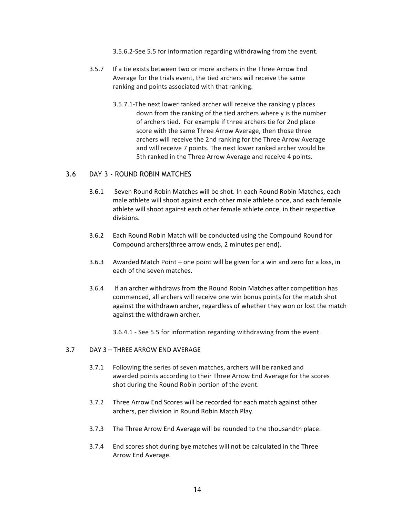3.5.6.2-See 5.5 for information regarding withdrawing from the event.

- 3.5.7 If a tie exists between two or more archers in the Three Arrow End Average for the trials event, the tied archers will receive the same ranking and points associated with that ranking.
	- 3.5.7.1-The next lower ranked archer will receive the ranking y places down from the ranking of the tied archers where y is the number of archers tied. For example if three archers tie for 2nd place score with the same Three Arrow Average, then those three archers will receive the 2nd ranking for the Three Arrow Average and will receive 7 points. The next lower ranked archer would be 5th ranked in the Three Arrow Average and receive 4 points.

#### 3.6 DAY 3 - ROUND ROBIN MATCHES

- 3.6.1 Seven Round Robin Matches will be shot. In each Round Robin Matches, each male athlete will shoot against each other male athlete once, and each female athlete will shoot against each other female athlete once, in their respective divisions.
- 3.6.2 Each Round Robin Match will be conducted using the Compound Round for Compound archers(three arrow ends, 2 minutes per end).
- 3.6.3 Awarded Match Point one point will be given for a win and zero for a loss, in each of the seven matches.
- 3.6.4 If an archer withdraws from the Round Robin Matches after competition has commenced, all archers will receive one win bonus points for the match shot against the withdrawn archer, regardless of whether they won or lost the match against the withdrawn archer.
	- 3.6.4.1 See 5.5 for information regarding withdrawing from the event.

#### 3.7 DAY 3 – THREE ARROW END AVERAGE

- 3.7.1 Following the series of seven matches, archers will be ranked and awarded points according to their Three Arrow End Average for the scores shot during the Round Robin portion of the event.
- 3.7.2 Three Arrow End Scores will be recorded for each match against other archers, per division in Round Robin Match Play.
- 3.7.3 The Three Arrow End Average will be rounded to the thousandth place.
- 3.7.4 End scores shot during bye matches will not be calculated in the Three Arrow End Average.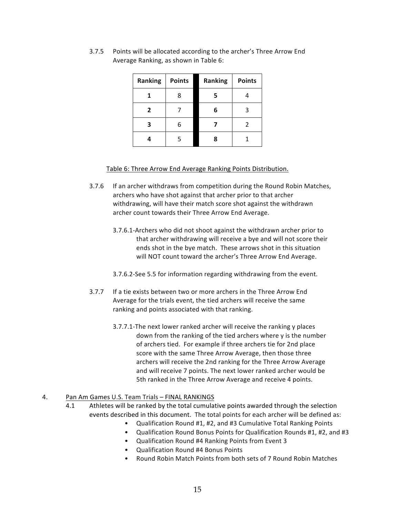| Ranking        | <b>Points</b> | Ranking | <b>Points</b> |
|----------------|---------------|---------|---------------|
|                | 8             | 5       |               |
| $\overline{2}$ |               | 6       | ς             |
|                | 6             |         | $\mathcal{P}$ |
|                | 5             |         |               |

3.7.5 Points will be allocated according to the archer's Three Arrow End Average Ranking, as shown in Table 6:

#### Table 6: Three Arrow End Average Ranking Points Distribution.

- 3.7.6 If an archer withdraws from competition during the Round Robin Matches, archers who have shot against that archer prior to that archer withdrawing, will have their match score shot against the withdrawn archer count towards their Three Arrow End Average.
	- 3.7.6.1-Archers who did not shoot against the withdrawn archer prior to that archer withdrawing will receive a bye and will not score their ends shot in the bye match. These arrows shot in this situation will NOT count toward the archer's Three Arrow End Average.
	- 3.7.6.2-See 5.5 for information regarding withdrawing from the event.
- 3.7.7 If a tie exists between two or more archers in the Three Arrow End Average for the trials event, the tied archers will receive the same ranking and points associated with that ranking.
	- 3.7.7.1-The next lower ranked archer will receive the ranking y places down from the ranking of the tied archers where y is the number of archers tied. For example if three archers tie for 2nd place score with the same Three Arrow Average, then those three archers will receive the 2nd ranking for the Three Arrow Average and will receive 7 points. The next lower ranked archer would be 5th ranked in the Three Arrow Average and receive 4 points.

#### 4. Pan Am Games U.S. Team Trials – FINAL RANKINGS

- 4.1 Athletes will be ranked by the total cumulative points awarded through the selection events described in this document. The total points for each archer will be defined as:
	- Qualification Round #1, #2, and #3 Cumulative Total Ranking Points
	- Qualification Round Bonus Points for Qualification Rounds #1, #2, and #3
	- Qualification Round #4 Ranking Points from Event 3
	- Qualification Round #4 Bonus Points
	- Round Robin Match Points from both sets of 7 Round Robin Matches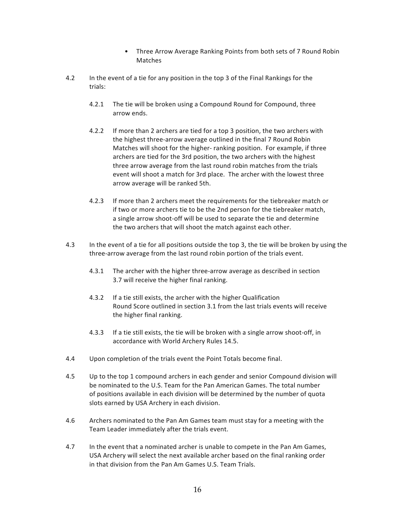- Three Arrow Average Ranking Points from both sets of 7 Round Robin Matches
- 4.2 In the event of a tie for any position in the top 3 of the Final Rankings for the trials:
	- 4.2.1 The tie will be broken using a Compound Round for Compound, three arrow ends.
	- 4.2.2 If more than 2 archers are tied for a top 3 position, the two archers with the highest three-arrow average outlined in the final 7 Round Robin Matches will shoot for the higher- ranking position. For example, if three archers are tied for the 3rd position, the two archers with the highest three arrow average from the last round robin matches from the trials event will shoot a match for 3rd place. The archer with the lowest three arrow average will be ranked 5th.
	- 4.2.3 If more than 2 archers meet the requirements for the tiebreaker match or if two or more archers tie to be the 2nd person for the tiebreaker match, a single arrow shoot-off will be used to separate the tie and determine the two archers that will shoot the match against each other.
- 4.3 In the event of a tie for all positions outside the top 3, the tie will be broken by using the three-arrow average from the last round robin portion of the trials event.
	- 4.3.1 The archer with the higher three-arrow average as described in section 3.7 will receive the higher final ranking.
	- 4.3.2 If a tie still exists, the archer with the higher Qualification Round Score outlined in section 3.1 from the last trials events will receive the higher final ranking.
	- 4.3.3 If a tie still exists, the tie will be broken with a single arrow shoot-off, in accordance with World Archery Rules 14.5.
- 4.4 Upon completion of the trials event the Point Totals become final.
- 4.5 Up to the top 1 compound archers in each gender and senior Compound division will be nominated to the U.S. Team for the Pan American Games. The total number of positions available in each division will be determined by the number of quota slots earned by USA Archery in each division.
- 4.6 Archers nominated to the Pan Am Games team must stay for a meeting with the Team Leader immediately after the trials event.
- 4.7 In the event that a nominated archer is unable to compete in the Pan Am Games, USA Archery will select the next available archer based on the final ranking order in that division from the Pan Am Games U.S. Team Trials.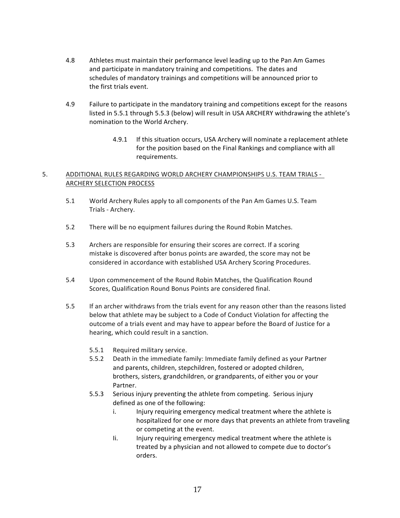- 4.8 Athletes must maintain their performance level leading up to the Pan Am Games and participate in mandatory training and competitions. The dates and schedules of mandatory trainings and competitions will be announced prior to the first trials event.
- 4.9 Failure to participate in the mandatory training and competitions except for the reasons listed in 5.5.1 through 5.5.3 (below) will result in USA ARCHERY withdrawing the athlete's nomination to the World Archery.
	- 4.9.1 If this situation occurs, USA Archery will nominate a replacement athlete for the position based on the Final Rankings and compliance with all requirements.

#### 5. ADDITIONAL RULES REGARDING WORLD ARCHERY CHAMPIONSHIPS U.S. TEAM TRIALS - ARCHERY SELECTION PROCESS

- 5.1 World Archery Rules apply to all components of the Pan Am Games U.S. Team Trials - Archery.
- 5.2 There will be no equipment failures during the Round Robin Matches.
- 5.3 Archers are responsible for ensuring their scores are correct. If a scoring mistake is discovered after bonus points are awarded, the score may not be considered in accordance with established USA Archery Scoring Procedures.
- 5.4 Upon commencement of the Round Robin Matches, the Qualification Round Scores, Qualification Round Bonus Points are considered final.
- 5.5 If an archer withdraws from the trials event for any reason other than the reasons listed below that athlete may be subject to a Code of Conduct Violation for affecting the outcome of a trials event and may have to appear before the Board of Justice for a hearing, which could result in a sanction.
	- 5.5.1 Required military service.
	- 5.5.2 Death in the immediate family: Immediate family defined as your Partner and parents, children, stepchildren, fostered or adopted children, brothers, sisters, grandchildren, or grandparents, of either you or your Partner.
	- 5.5.3 Serious injury preventing the athlete from competing. Serious injury defined as one of the following:
		- i. Injury requiring emergency medical treatment where the athlete is hospitalized for one or more days that prevents an athlete from traveling or competing at the event.
		- Ii. Injury requiring emergency medical treatment where the athlete is treated by a physician and not allowed to compete due to doctor's orders.